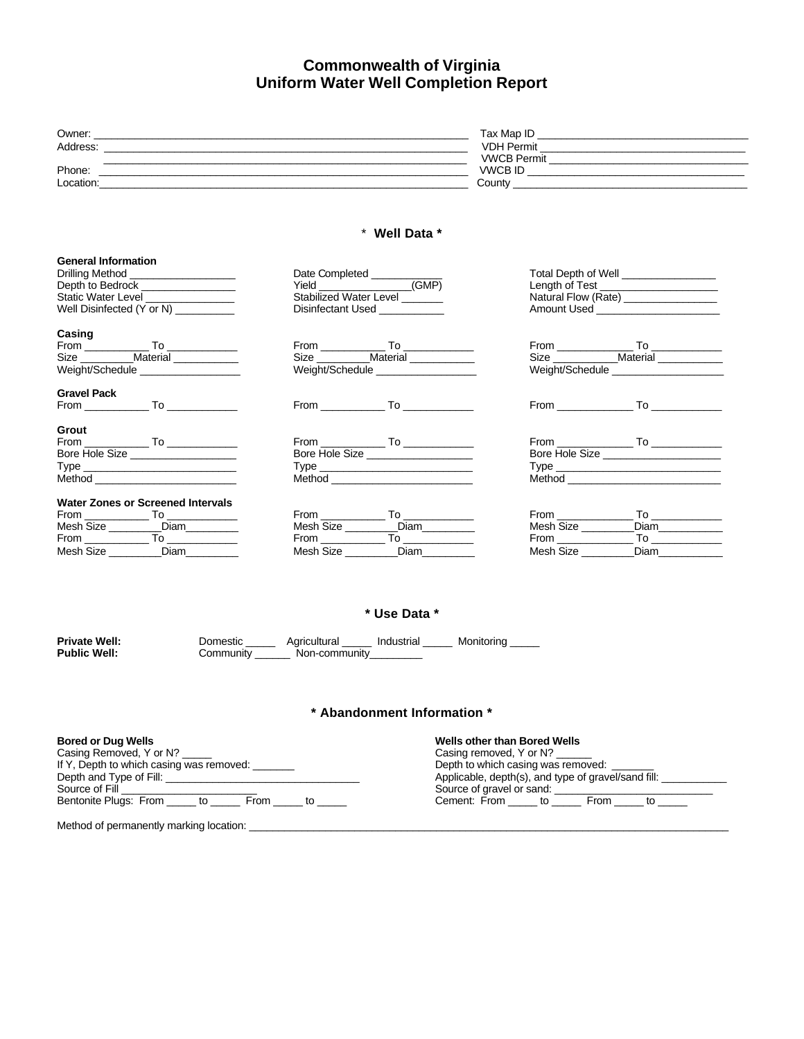# **Commonwealth of Virginia Uniform Water Well Completion Report**

| Owner:    | Tax Map ID         |
|-----------|--------------------|
| Address:  | <b>VDH Permit</b>  |
|           | <b>VWCB Permit</b> |
| Phone:    | <b>VWCB ID</b>     |
| Location: | County             |

#### \* **Well Data \***

| <b>General Information</b>               |                                      |                                           |  |
|------------------------------------------|--------------------------------------|-------------------------------------------|--|
| Drilling Method ____________________     | Date Completed ____________          | Total Depth of Well __________________    |  |
| Depth to Bedrock <b>Depth to Bedrock</b> | Yield (GMP)                          | Length of Test _____________________      |  |
| Static Water Level _______________       | Stabilized Water Level               | Natural Flow (Rate) ________________      |  |
| Well Disinfected (Y or N)                | Disinfectant Used ___________        | Amount Used ________________________      |  |
| Casing                                   |                                      |                                           |  |
|                                          |                                      |                                           |  |
| Size ____________Material ____________   | Size ___________Material ___________ | Size ______________Material _____________ |  |
| Weight/Schedule ____________________     | Weight/Schedule                      | Weight/Schedule                           |  |
| <b>Gravel Pack</b>                       |                                      |                                           |  |
|                                          |                                      |                                           |  |
| Grout                                    |                                      |                                           |  |
|                                          |                                      |                                           |  |
| Bore Hole Size ___________________       | Bore Hole Size __________________    | Bore Hole Size                            |  |
|                                          |                                      | Type <b>Example 2018</b>                  |  |
| Method ____________________________      |                                      |                                           |  |
| <b>Water Zones or Screened Intervals</b> |                                      |                                           |  |
|                                          |                                      | From<br>$To$ and $\overline{\phantom{a}}$ |  |
| Mesh Size __________Diam_________        | Mesh Size __________Diam_________    | Diam___________<br>Mesh Size              |  |
|                                          |                                      | From To                                   |  |
| Mesh Size __________Diam_________        | Mesh Size Diam                       | Mesh Size<br>Diam                         |  |

### **\* Use Data \***

| <b>Private Well:</b> | Domestic  | Agricultural  | Industrial | Monitorina |
|----------------------|-----------|---------------|------------|------------|
| <b>Public Well:</b>  | Community | Non-community |            |            |

### **\* Abandonment Information \***

| <b>Bored or Dug Wells</b><br>Casing Removed, Y or N?<br>If Y, Depth to which casing was removed:<br>Depth and Type of Fill: <u>Depth and Type of Fill:</u> | <b>Wells other than Bored Wells</b><br>Casing removed, Y or N?<br>Depth to which casing was removed:                                 |  |  |
|------------------------------------------------------------------------------------------------------------------------------------------------------------|--------------------------------------------------------------------------------------------------------------------------------------|--|--|
| Source of Fill <b>Source of Fill</b><br>Bentonite Plugs: From to From to                                                                                   | Applicable, depth(s), and type of gravel/sand fill:<br>Source of gravel or sand:<br>Cement: From _____ to ______ From _____ to _____ |  |  |
| Method of permanently marking location:                                                                                                                    |                                                                                                                                      |  |  |